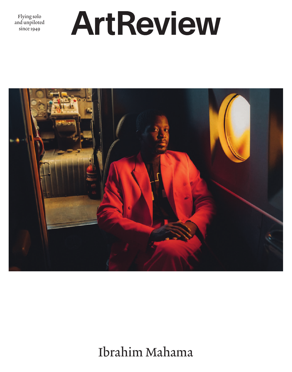Flying solo and unpiloted since 1949

## ArtReview



Ibrahim Mahama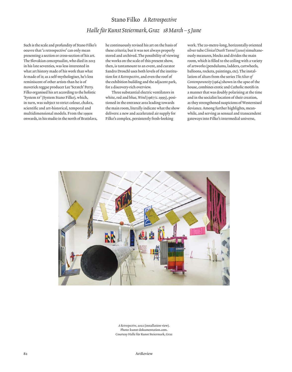## Stano Filko *A Retrospective Halle für Kunst Steiermark, Graz 18 March – 5 June*

Such is the scale and profundity of Stano Filko's oeuvre that 'a retrospective' can only mean presenting a section or cross-section of his art. The Slovakian conceptualist, who died in 2015 in his late seventies, was less interested in what art history made of his work than what *he* made of it; as a self-mythologiser, he's less reminiscent of other artists than he is of maverick reggae producer Lee 'Scratch' Perry. Filko organised his art according to the holistic 'System sr' (System Stano Filko), which, in turn, was subject to strict colour, chakra, scientific and art-historical, temporal and multidimensional models. From the 1990s onwards, in his studio in the north of Bratislava, he continuously revised his art on the basis of these criteria; but it was not always properly stored and archived. The possibility of viewing the works on the scale of this present show, then, is tantamount to an event, and curator Sandro Droschl uses both levels of the institution for *A Retrospective*, and even the roof of the exhibition building and the adjacent park, for a discovery-rich overview.

Three substantial electric ventilators in white, red and blue, *Wind* (1967/c.1995), positioned in the entrance area leading towards the main room, literally indicate what the show delivers: a new and accelerated air supply for Filko's complex, persistently fresh-looking

work. The 20-metre-long, horizontally oriented silver tube *Clinical Death Tunnel* (2010) simultaneously measures, blocks and divides the main room, which is filled to the ceiling with a variety of artworks (pendulums, ladders, cartwheels, balloons, rockets, paintings, etc). The installation of altars from the series *The Altar of Contemporaneity* (1964) shown in the apse of the house, combines erotic and Catholic motifs in a manner that was doubly polarising at the time and in the socialist location of their creation, as they strengthened suspicions of Westernised deviance. Among further highlights, meanwhile, and serving as sensual and transcendent gateways into Filko's intermedial universe,



*A Retrospective*, 2022 (installation view). Photo: kunst-dokumentation.com. Courtesy Halle für Kunst Steiermark, Graz